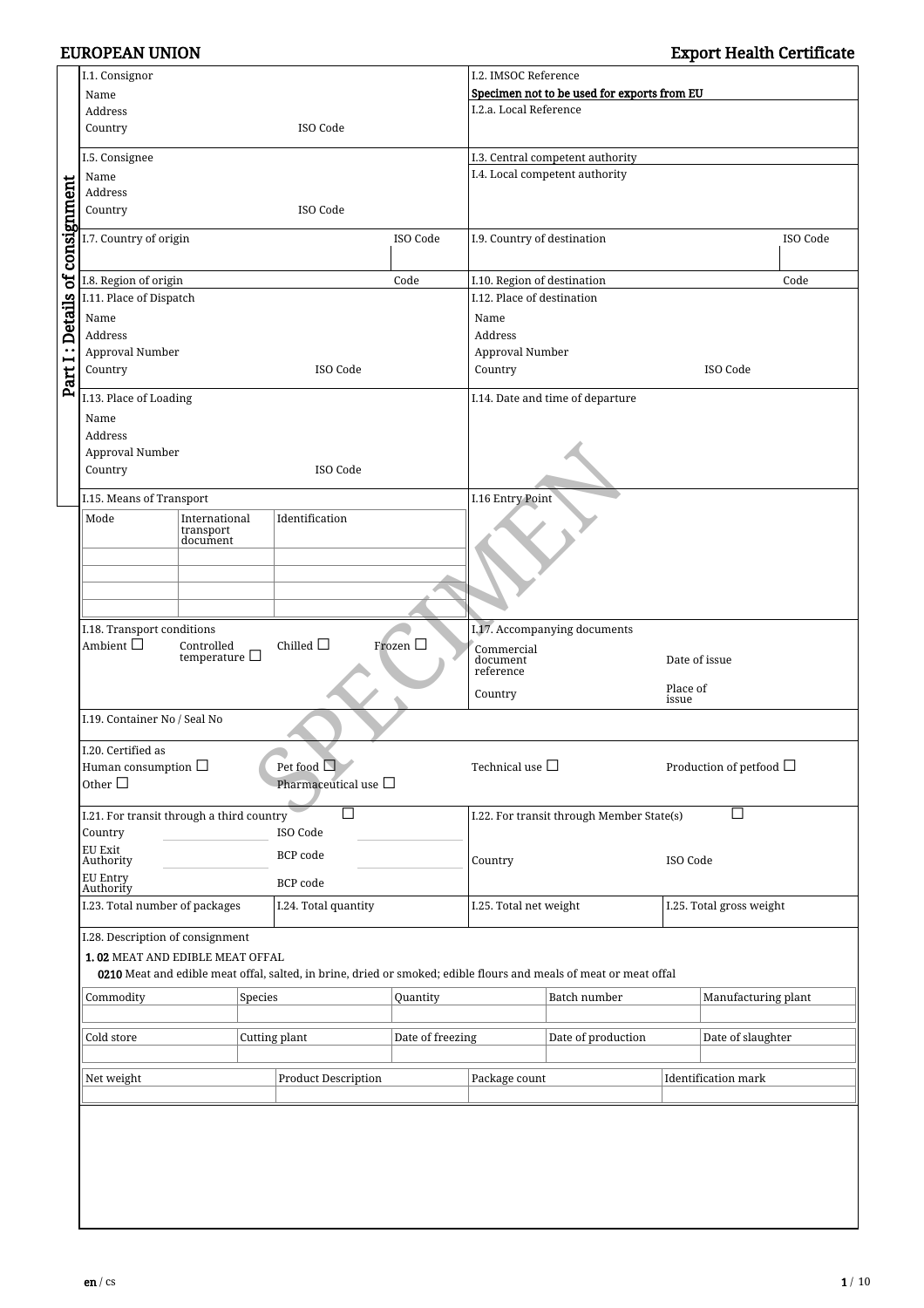|                                | I.1. Consignor                                                                                   |                       |               |                           | I.2. IMSOC Reference       |                                                      |                                                                                                                   |                            |                     |  |
|--------------------------------|--------------------------------------------------------------------------------------------------|-----------------------|---------------|---------------------------|----------------------------|------------------------------------------------------|-------------------------------------------------------------------------------------------------------------------|----------------------------|---------------------|--|
|                                | Name                                                                                             |                       |               |                           |                            | Specimen not to be used for exports from EU          |                                                                                                                   |                            |                     |  |
|                                | Address                                                                                          |                       |               |                           |                            | I.2.a. Local Reference                               |                                                                                                                   |                            |                     |  |
|                                | ISO Code<br>Country                                                                              |                       |               |                           |                            |                                                      |                                                                                                                   |                            |                     |  |
|                                | I.5. Consignee                                                                                   |                       |               |                           |                            |                                                      | I.3. Central competent authority                                                                                  |                            |                     |  |
|                                | Name                                                                                             |                       |               |                           |                            |                                                      | I.4. Local competent authority                                                                                    |                            |                     |  |
|                                | Address                                                                                          |                       |               |                           |                            |                                                      |                                                                                                                   |                            |                     |  |
|                                | Country                                                                                          |                       |               | ISO Code                  |                            |                                                      |                                                                                                                   |                            |                     |  |
| Part I: Details of consignment | I.7. Country of origin                                                                           |                       |               |                           | ISO Code                   | I.9. Country of destination                          |                                                                                                                   |                            | ISO Code            |  |
|                                | I.8. Region of origin                                                                            |                       |               |                           | Code                       | I.10. Region of destination                          |                                                                                                                   |                            | Code                |  |
|                                | I.11. Place of Dispatch                                                                          |                       |               |                           | I.12. Place of destination |                                                      |                                                                                                                   |                            |                     |  |
|                                | Name                                                                                             |                       |               |                           |                            | Name                                                 |                                                                                                                   |                            |                     |  |
|                                | Address                                                                                          |                       |               |                           | Address                    |                                                      |                                                                                                                   |                            |                     |  |
|                                | Approval Number                                                                                  |                       |               |                           |                            | Approval Number                                      |                                                                                                                   |                            |                     |  |
|                                | Country                                                                                          |                       |               | ISO Code                  |                            | Country                                              |                                                                                                                   |                            | ISO Code            |  |
|                                | I.13. Place of Loading                                                                           |                       |               |                           |                            |                                                      | I.14. Date and time of departure                                                                                  |                            |                     |  |
|                                | Name                                                                                             |                       |               |                           |                            |                                                      |                                                                                                                   |                            |                     |  |
|                                | Address                                                                                          |                       |               |                           |                            |                                                      |                                                                                                                   |                            |                     |  |
|                                | Approval Number                                                                                  |                       |               |                           |                            |                                                      |                                                                                                                   |                            |                     |  |
|                                | Country                                                                                          |                       |               | ISO Code                  |                            |                                                      |                                                                                                                   |                            |                     |  |
|                                | I.15. Means of Transport                                                                         |                       |               |                           |                            | I.16 Entry Point                                     |                                                                                                                   |                            |                     |  |
|                                | Mode                                                                                             | International         |               | Identification            |                            |                                                      |                                                                                                                   |                            |                     |  |
|                                |                                                                                                  | transport<br>document |               |                           |                            |                                                      |                                                                                                                   |                            |                     |  |
|                                |                                                                                                  |                       |               |                           |                            |                                                      |                                                                                                                   |                            |                     |  |
|                                |                                                                                                  |                       |               |                           |                            |                                                      |                                                                                                                   |                            |                     |  |
|                                |                                                                                                  |                       |               |                           |                            |                                                      |                                                                                                                   |                            |                     |  |
|                                |                                                                                                  |                       |               |                           |                            |                                                      |                                                                                                                   |                            |                     |  |
|                                | I.18. Transport conditions<br>Ambient $\square$<br>Chilled $\Box$<br>Frozen $\Box$<br>Controlled |                       |               |                           |                            | I.17. Accompanying documents<br>Commercial           |                                                                                                                   |                            |                     |  |
|                                |                                                                                                  | temperature $\Box$    |               |                           |                            |                                                      | document                                                                                                          |                            | Date of issue       |  |
|                                |                                                                                                  |                       |               |                           |                            | reference<br>Place of<br>Country<br>issue            |                                                                                                                   |                            |                     |  |
|                                |                                                                                                  |                       |               |                           |                            |                                                      |                                                                                                                   |                            |                     |  |
|                                | I.19. Container No / Seal No                                                                     |                       |               |                           |                            |                                                      |                                                                                                                   |                            |                     |  |
|                                | I.20. Certified as                                                                               |                       |               |                           |                            |                                                      |                                                                                                                   |                            |                     |  |
|                                | Human consumption $\Box$                                                                         |                       |               | Pet food $\Box$           |                            | Technical use $\Box$<br>Production of petfood $\Box$ |                                                                                                                   |                            |                     |  |
|                                | Other $\Box$                                                                                     |                       |               | Pharmaceutical use $\Box$ |                            |                                                      |                                                                                                                   |                            |                     |  |
|                                | I.21. For transit through a third country                                                        |                       |               | n.                        |                            | □<br>I.22. For transit through Member State(s)       |                                                                                                                   |                            |                     |  |
|                                | Country                                                                                          |                       |               | ISO Code                  |                            |                                                      |                                                                                                                   |                            |                     |  |
|                                | EU Exit                                                                                          |                       |               | <b>BCP</b> code           |                            |                                                      |                                                                                                                   |                            |                     |  |
|                                | Authority<br><b>EU Entry</b>                                                                     |                       |               |                           |                            | Country                                              |                                                                                                                   | ISO Code                   |                     |  |
|                                | Authority                                                                                        |                       |               | <b>BCP</b> code           |                            |                                                      |                                                                                                                   |                            |                     |  |
|                                | I.23. Total number of packages<br>I.24. Total quantity                                           |                       |               |                           |                            | I.25. Total net weight                               |                                                                                                                   | I.25. Total gross weight   |                     |  |
|                                | I.28. Description of consignment                                                                 |                       |               |                           |                            |                                                      |                                                                                                                   |                            |                     |  |
|                                | 1.02 MEAT AND EDIBLE MEAT OFFAL                                                                  |                       |               |                           |                            |                                                      |                                                                                                                   |                            |                     |  |
|                                |                                                                                                  |                       |               |                           |                            |                                                      | 0210 Meat and edible meat offal, salted, in brine, dried or smoked; edible flours and meals of meat or meat offal |                            |                     |  |
|                                | Commodity                                                                                        |                       | Species       |                           | Quantity                   |                                                      | Batch number                                                                                                      |                            | Manufacturing plant |  |
|                                |                                                                                                  |                       |               |                           |                            |                                                      |                                                                                                                   |                            |                     |  |
|                                | Cold store                                                                                       |                       | Cutting plant | Date of freezing          |                            | Date of production                                   |                                                                                                                   | Date of slaughter          |                     |  |
|                                |                                                                                                  |                       |               |                           |                            |                                                      |                                                                                                                   |                            |                     |  |
|                                | Net weight<br><b>Product Description</b>                                                         |                       |               |                           | Package count              |                                                      |                                                                                                                   | <b>Identification mark</b> |                     |  |
|                                |                                                                                                  |                       |               |                           |                            |                                                      |                                                                                                                   |                            |                     |  |
|                                |                                                                                                  |                       |               |                           |                            |                                                      |                                                                                                                   |                            |                     |  |
|                                |                                                                                                  |                       |               |                           |                            |                                                      |                                                                                                                   |                            |                     |  |
|                                |                                                                                                  |                       |               |                           |                            |                                                      |                                                                                                                   |                            |                     |  |
|                                |                                                                                                  |                       |               |                           |                            |                                                      |                                                                                                                   |                            |                     |  |
|                                |                                                                                                  |                       |               |                           |                            |                                                      |                                                                                                                   |                            |                     |  |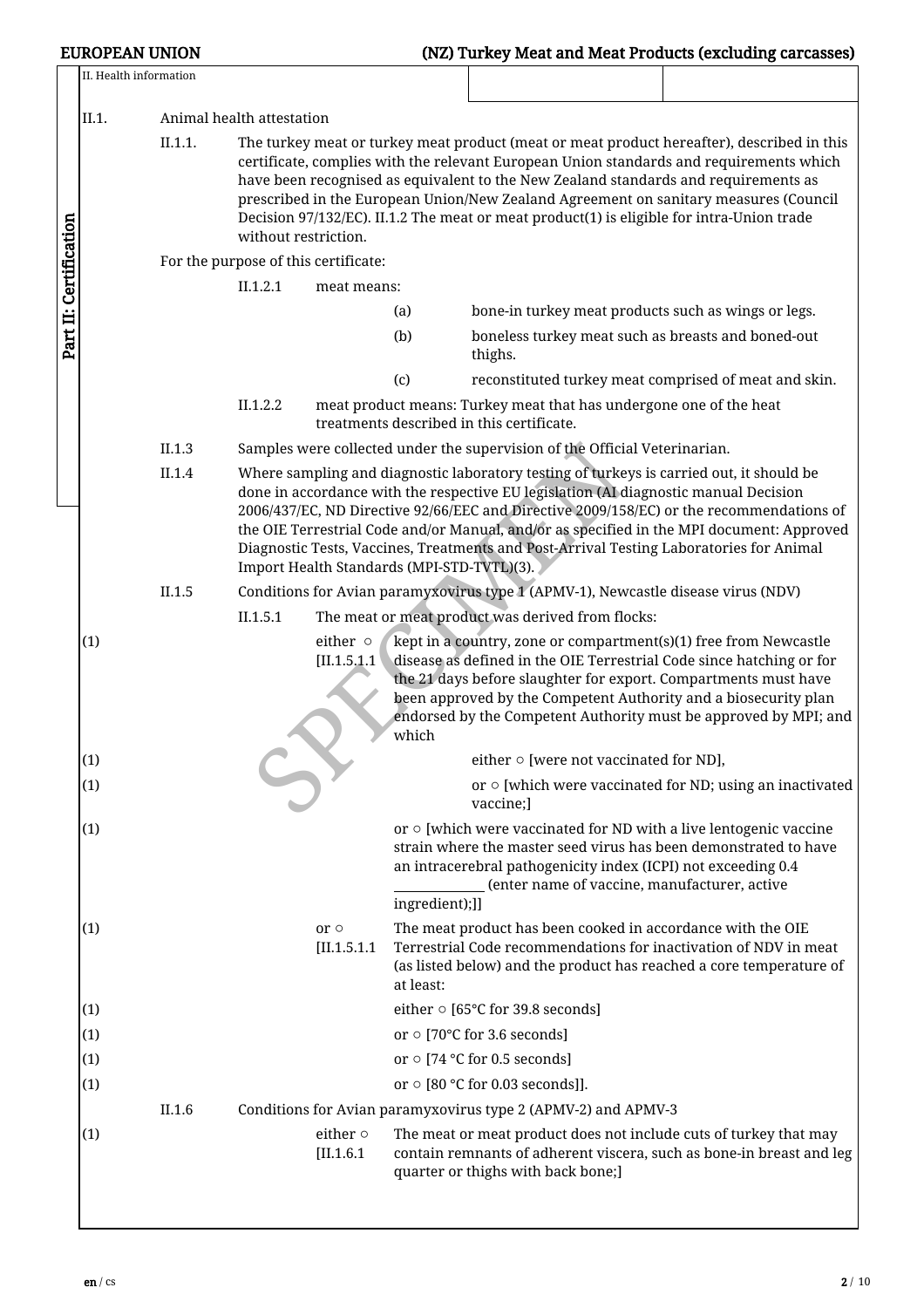|                        | II. Health information |                                      |                           |                                                                                                                                                                                                                                                                                                                                                                                                                                                                      |                                            |                                                                                                                                                                                                                                                                                                                                                                                                                                                                   |  |  |  |  |  |  |
|------------------------|------------------------|--------------------------------------|---------------------------|----------------------------------------------------------------------------------------------------------------------------------------------------------------------------------------------------------------------------------------------------------------------------------------------------------------------------------------------------------------------------------------------------------------------------------------------------------------------|--------------------------------------------|-------------------------------------------------------------------------------------------------------------------------------------------------------------------------------------------------------------------------------------------------------------------------------------------------------------------------------------------------------------------------------------------------------------------------------------------------------------------|--|--|--|--|--|--|
|                        | II.1.                  |                                      | Animal health attestation |                                                                                                                                                                                                                                                                                                                                                                                                                                                                      |                                            |                                                                                                                                                                                                                                                                                                                                                                                                                                                                   |  |  |  |  |  |  |
| Part II: Certification |                        | II.1.1.                              |                           |                                                                                                                                                                                                                                                                                                                                                                                                                                                                      |                                            | The turkey meat or turkey meat product (meat or meat product hereafter), described in this<br>certificate, complies with the relevant European Union standards and requirements which<br>have been recognised as equivalent to the New Zealand standards and requirements as<br>prescribed in the European Union/New Zealand Agreement on sanitary measures (Council<br>Decision 97/132/EC). II.1.2 The meat or meat product(1) is eligible for intra-Union trade |  |  |  |  |  |  |
|                        |                        |                                      | without restriction.      |                                                                                                                                                                                                                                                                                                                                                                                                                                                                      |                                            |                                                                                                                                                                                                                                                                                                                                                                                                                                                                   |  |  |  |  |  |  |
|                        |                        | For the purpose of this certificate: |                           |                                                                                                                                                                                                                                                                                                                                                                                                                                                                      |                                            |                                                                                                                                                                                                                                                                                                                                                                                                                                                                   |  |  |  |  |  |  |
|                        |                        |                                      | II.1.2.1                  | meat means:                                                                                                                                                                                                                                                                                                                                                                                                                                                          |                                            |                                                                                                                                                                                                                                                                                                                                                                                                                                                                   |  |  |  |  |  |  |
|                        |                        |                                      |                           |                                                                                                                                                                                                                                                                                                                                                                                                                                                                      | (a)                                        | bone-in turkey meat products such as wings or legs.                                                                                                                                                                                                                                                                                                                                                                                                               |  |  |  |  |  |  |
|                        |                        |                                      |                           |                                                                                                                                                                                                                                                                                                                                                                                                                                                                      | (b)                                        | boneless turkey meat such as breasts and boned-out<br>thighs.                                                                                                                                                                                                                                                                                                                                                                                                     |  |  |  |  |  |  |
|                        |                        |                                      |                           |                                                                                                                                                                                                                                                                                                                                                                                                                                                                      | (c)                                        | reconstituted turkey meat comprised of meat and skin.                                                                                                                                                                                                                                                                                                                                                                                                             |  |  |  |  |  |  |
|                        |                        |                                      | II.1.2.2                  |                                                                                                                                                                                                                                                                                                                                                                                                                                                                      |                                            | meat product means: Turkey meat that has undergone one of the heat<br>treatments described in this certificate.                                                                                                                                                                                                                                                                                                                                                   |  |  |  |  |  |  |
|                        |                        | II.1.3                               |                           |                                                                                                                                                                                                                                                                                                                                                                                                                                                                      |                                            | Samples were collected under the supervision of the Official Veterinarian.                                                                                                                                                                                                                                                                                                                                                                                        |  |  |  |  |  |  |
|                        |                        | II.1.4                               |                           | Where sampling and diagnostic laboratory testing of turkeys is carried out, it should be<br>done in accordance with the respective EU legislation (AI diagnostic manual Decision<br>2006/437/EC, ND Directive 92/66/EEC and Directive 2009/158/EC) or the recommendations of<br>the OIE Terrestrial Code and/or Manual, and/or as specified in the MPI document: Approved<br>Diagnostic Tests, Vaccines, Treatments and Post-Arrival Testing Laboratories for Animal |                                            |                                                                                                                                                                                                                                                                                                                                                                                                                                                                   |  |  |  |  |  |  |
|                        |                        |                                      |                           |                                                                                                                                                                                                                                                                                                                                                                                                                                                                      | Import Health Standards (MPI-STD-TVTL)(3). |                                                                                                                                                                                                                                                                                                                                                                                                                                                                   |  |  |  |  |  |  |
|                        |                        | II.1.5                               | II.1.5.1                  |                                                                                                                                                                                                                                                                                                                                                                                                                                                                      |                                            | Conditions for Avian paramyxovirus type 1 (APMV-1), Newcastle disease virus (NDV)                                                                                                                                                                                                                                                                                                                                                                                 |  |  |  |  |  |  |
|                        | (1)                    |                                      |                           | either o<br>[II.1.5.1.1]                                                                                                                                                                                                                                                                                                                                                                                                                                             | which                                      | The meat or meat product was derived from flocks:<br>kept in a country, zone or compartment(s)(1) free from Newcastle<br>disease as defined in the OIE Terrestrial Code since hatching or for<br>the 21 days before slaughter for export. Compartments must have<br>been approved by the Competent Authority and a biosecurity plan<br>endorsed by the Competent Authority must be approved by MPI; and                                                           |  |  |  |  |  |  |
|                        | (1)                    |                                      |                           |                                                                                                                                                                                                                                                                                                                                                                                                                                                                      |                                            | either $\circ$ [were not vaccinated for ND],                                                                                                                                                                                                                                                                                                                                                                                                                      |  |  |  |  |  |  |
|                        | (1)                    |                                      |                           |                                                                                                                                                                                                                                                                                                                                                                                                                                                                      |                                            | or $\circ$ [which were vaccinated for ND; using an inactivated<br>vaccine;]                                                                                                                                                                                                                                                                                                                                                                                       |  |  |  |  |  |  |
|                        | (1)                    |                                      |                           |                                                                                                                                                                                                                                                                                                                                                                                                                                                                      | ingredient);]]                             | or $\circ$ [which were vaccinated for ND with a live lentogenic vaccine<br>strain where the master seed virus has been demonstrated to have<br>an intracerebral pathogenicity index (ICPI) not exceeding 0.4<br>(enter name of vaccine, manufacturer, active                                                                                                                                                                                                      |  |  |  |  |  |  |
|                        | (1)                    |                                      |                           | or $\circ$<br>[II.1.5.1.1]                                                                                                                                                                                                                                                                                                                                                                                                                                           | at least:                                  | The meat product has been cooked in accordance with the OIE<br>Terrestrial Code recommendations for inactivation of NDV in meat<br>(as listed below) and the product has reached a core temperature of                                                                                                                                                                                                                                                            |  |  |  |  |  |  |
|                        | (1)                    |                                      |                           |                                                                                                                                                                                                                                                                                                                                                                                                                                                                      |                                            | either ○ [65°C for 39.8 seconds]                                                                                                                                                                                                                                                                                                                                                                                                                                  |  |  |  |  |  |  |
|                        | (1)                    |                                      |                           |                                                                                                                                                                                                                                                                                                                                                                                                                                                                      |                                            | or $\circ$ [70°C for 3.6 seconds]                                                                                                                                                                                                                                                                                                                                                                                                                                 |  |  |  |  |  |  |
|                        | (1)                    |                                      |                           |                                                                                                                                                                                                                                                                                                                                                                                                                                                                      |                                            | or $\circ$ [74 °C for 0.5 seconds]                                                                                                                                                                                                                                                                                                                                                                                                                                |  |  |  |  |  |  |
|                        | (1)                    |                                      |                           |                                                                                                                                                                                                                                                                                                                                                                                                                                                                      |                                            | or $\circ$ [80 °C for 0.03 seconds]].                                                                                                                                                                                                                                                                                                                                                                                                                             |  |  |  |  |  |  |
|                        |                        | II.1.6                               |                           |                                                                                                                                                                                                                                                                                                                                                                                                                                                                      |                                            | Conditions for Avian paramyxovirus type 2 (APMV-2) and APMV-3                                                                                                                                                                                                                                                                                                                                                                                                     |  |  |  |  |  |  |
|                        | (1)                    |                                      |                           | either $\circ$<br>$[II.1.6.1]$                                                                                                                                                                                                                                                                                                                                                                                                                                       |                                            | The meat or meat product does not include cuts of turkey that may<br>contain remnants of adherent viscera, such as bone-in breast and leg<br>quarter or thighs with back bone;]                                                                                                                                                                                                                                                                                   |  |  |  |  |  |  |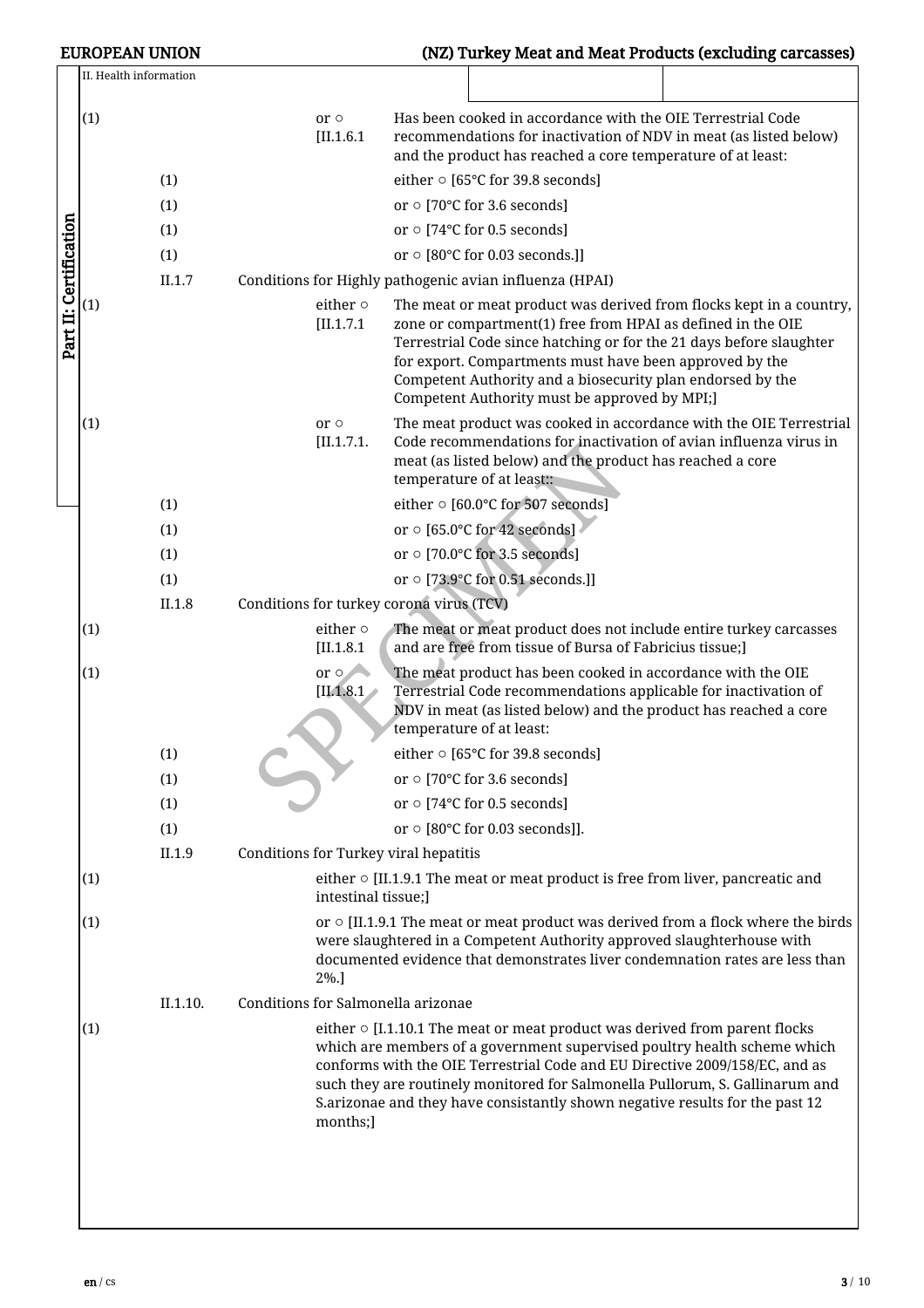|                        | <b>EUROPEAN UNION</b>  |                   |                                                                                                                                                                                                                                                                                                                                                                                                                         |                              | (NZ) Turkey Meat and Meat Products (excluding carcasses)                                                                                                                                                                                                                                                                                                                            |  |  |
|------------------------|------------------------|-------------------|-------------------------------------------------------------------------------------------------------------------------------------------------------------------------------------------------------------------------------------------------------------------------------------------------------------------------------------------------------------------------------------------------------------------------|------------------------------|-------------------------------------------------------------------------------------------------------------------------------------------------------------------------------------------------------------------------------------------------------------------------------------------------------------------------------------------------------------------------------------|--|--|
|                        | II. Health information |                   |                                                                                                                                                                                                                                                                                                                                                                                                                         |                              |                                                                                                                                                                                                                                                                                                                                                                                     |  |  |
|                        | (1)                    | (1)<br>(1)<br>(1) |                                                                                                                                                                                                                                                                                                                                                                                                                         | $or \circ$<br>$[II.1.6.1$    | Has been cooked in accordance with the OIE Terrestrial Code<br>recommendations for inactivation of NDV in meat (as listed below)<br>and the product has reached a core temperature of at least:<br>either $\circ$ [65°C for 39.8 seconds]<br>or $\circ$ [70°C for 3.6 seconds]<br>or $\circ$ [74°C for 0.5 seconds]                                                                 |  |  |
|                        |                        | (1)               |                                                                                                                                                                                                                                                                                                                                                                                                                         |                              | or $\circ$ [80°C for 0.03 seconds.]]                                                                                                                                                                                                                                                                                                                                                |  |  |
|                        |                        | II.1.7            |                                                                                                                                                                                                                                                                                                                                                                                                                         |                              | Conditions for Highly pathogenic avian influenza (HPAI)                                                                                                                                                                                                                                                                                                                             |  |  |
| Part II: Certification | (1)                    |                   |                                                                                                                                                                                                                                                                                                                                                                                                                         | either $\circ$<br>[II.1.7.1] | The meat or meat product was derived from flocks kept in a country,<br>zone or compartment(1) free from HPAI as defined in the OIE<br>Terrestrial Code since hatching or for the 21 days before slaughter<br>for export. Compartments must have been approved by the<br>Competent Authority and a biosecurity plan endorsed by the<br>Competent Authority must be approved by MPI;] |  |  |
|                        | (1)                    |                   |                                                                                                                                                                                                                                                                                                                                                                                                                         | $or \circ$<br>[II.1.7.1]     | The meat product was cooked in accordance with the OIE Terrestrial<br>Code recommendations for inactivation of avian influenza virus in<br>meat (as listed below) and the product has reached a core<br>temperature of at least::                                                                                                                                                   |  |  |
|                        |                        | (1)               |                                                                                                                                                                                                                                                                                                                                                                                                                         |                              | either ○ [60.0°C for 507 seconds]                                                                                                                                                                                                                                                                                                                                                   |  |  |
|                        |                        | (1)               |                                                                                                                                                                                                                                                                                                                                                                                                                         |                              | or o [65.0°C for 42 seconds]                                                                                                                                                                                                                                                                                                                                                        |  |  |
|                        |                        | (1)               |                                                                                                                                                                                                                                                                                                                                                                                                                         |                              | or $\circ$ [70.0°C for 3.5 seconds]                                                                                                                                                                                                                                                                                                                                                 |  |  |
|                        |                        | (1)               |                                                                                                                                                                                                                                                                                                                                                                                                                         |                              | or $\circ$ [73.9°C for 0.51 seconds.]]                                                                                                                                                                                                                                                                                                                                              |  |  |
|                        |                        | II.1.8            |                                                                                                                                                                                                                                                                                                                                                                                                                         |                              | Conditions for turkey corona virus (TCV)                                                                                                                                                                                                                                                                                                                                            |  |  |
|                        | (1)                    |                   |                                                                                                                                                                                                                                                                                                                                                                                                                         | either $\circ$<br>[II.1.8.1] | The meat or meat product does not include entire turkey carcasses<br>and are free from tissue of Bursa of Fabricius tissue;]                                                                                                                                                                                                                                                        |  |  |
|                        | (1)                    |                   |                                                                                                                                                                                                                                                                                                                                                                                                                         | or $\circ$<br>[II.1.8.1]     | The meat product has been cooked in accordance with the OIE<br>Terrestrial Code recommendations applicable for inactivation of<br>NDV in meat (as listed below) and the product has reached a core<br>temperature of at least:                                                                                                                                                      |  |  |
|                        |                        | (1)               |                                                                                                                                                                                                                                                                                                                                                                                                                         |                              | either ○ [65°C for 39.8 seconds]                                                                                                                                                                                                                                                                                                                                                    |  |  |
|                        |                        | (1)               |                                                                                                                                                                                                                                                                                                                                                                                                                         |                              | or $\circ$ [70°C for 3.6 seconds]                                                                                                                                                                                                                                                                                                                                                   |  |  |
|                        |                        | (1)               |                                                                                                                                                                                                                                                                                                                                                                                                                         |                              | or $\circ$ [74°C for 0.5 seconds]                                                                                                                                                                                                                                                                                                                                                   |  |  |
|                        |                        | (1)               |                                                                                                                                                                                                                                                                                                                                                                                                                         |                              | or $\circ$ [80°C for 0.03 seconds]].                                                                                                                                                                                                                                                                                                                                                |  |  |
|                        |                        | II.1.9            |                                                                                                                                                                                                                                                                                                                                                                                                                         |                              | Conditions for Turkey viral hepatitis                                                                                                                                                                                                                                                                                                                                               |  |  |
|                        | (1)                    |                   |                                                                                                                                                                                                                                                                                                                                                                                                                         | intestinal tissue;]          | either $\circ$ [II.1.9.1 The meat or meat product is free from liver, pancreatic and                                                                                                                                                                                                                                                                                                |  |  |
|                        | (1)                    |                   |                                                                                                                                                                                                                                                                                                                                                                                                                         | $2\%$ .]                     | or $\circ$ [II.1.9.1 The meat or meat product was derived from a flock where the birds<br>were slaughtered in a Competent Authority approved slaughterhouse with<br>documented evidence that demonstrates liver condemnation rates are less than                                                                                                                                    |  |  |
|                        |                        | II.1.10.          |                                                                                                                                                                                                                                                                                                                                                                                                                         |                              | Conditions for Salmonella arizonae                                                                                                                                                                                                                                                                                                                                                  |  |  |
|                        | (1)                    |                   | either $\circ$ [I.1.10.1 The meat or meat product was derived from parent flocks<br>which are members of a government supervised poultry health scheme which<br>conforms with the OIE Terrestrial Code and EU Directive 2009/158/EC, and as<br>such they are routinely monitored for Salmonella Pullorum, S. Gallinarum and<br>S.arizonae and they have consistantly shown negative results for the past 12<br>months;] |                              |                                                                                                                                                                                                                                                                                                                                                                                     |  |  |
|                        |                        |                   |                                                                                                                                                                                                                                                                                                                                                                                                                         |                              |                                                                                                                                                                                                                                                                                                                                                                                     |  |  |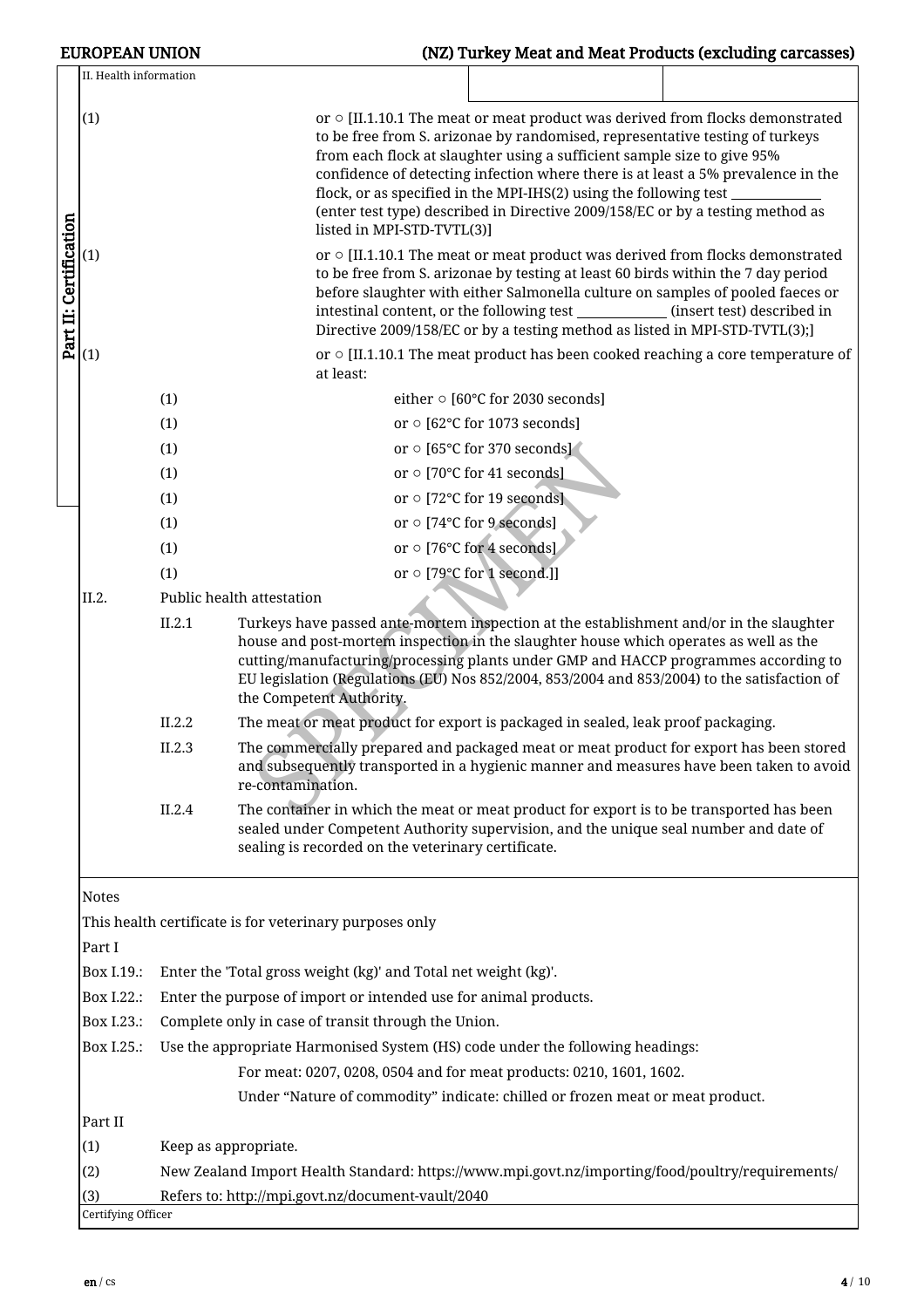| <b>EUROPEAN UNION</b>                |                                                     | (NZ) Turkey Meat and Meat Products (excluding carcasses)                                                                                                                                                                                                                                                                                                                                                                                                                                  |  |  |  |  |  |  |  |
|--------------------------------------|-----------------------------------------------------|-------------------------------------------------------------------------------------------------------------------------------------------------------------------------------------------------------------------------------------------------------------------------------------------------------------------------------------------------------------------------------------------------------------------------------------------------------------------------------------------|--|--|--|--|--|--|--|
| II. Health information               |                                                     |                                                                                                                                                                                                                                                                                                                                                                                                                                                                                           |  |  |  |  |  |  |  |
| (1)                                  |                                                     | or $\circ$ [II.1.10.1 The meat or meat product was derived from flocks demonstrated<br>to be free from S. arizonae by randomised, representative testing of turkeys<br>from each flock at slaughter using a sufficient sample size to give 95%<br>confidence of detecting infection where there is at least a 5% prevalence in the<br>flock, or as specified in the MPI-IHS(2) using the following test<br>(enter test type) described in Directive 2009/158/EC or by a testing method as |  |  |  |  |  |  |  |
| Part II: Certification<br>(1)<br>(1) |                                                     | listed in MPI-STD-TVTL(3)]<br>or $\circ$ [II.1.10.1 The meat or meat product was derived from flocks demonstrated<br>to be free from S. arizonae by testing at least 60 birds within the 7 day period<br>before slaughter with either Salmonella culture on samples of pooled faeces or<br>intestinal content, or the following test _____________(insert test) described in<br>Directive 2009/158/EC or by a testing method as listed in MPI-STD-TVTL(3);]                               |  |  |  |  |  |  |  |
|                                      |                                                     | or $\circ$ [II.1.10.1 The meat product has been cooked reaching a core temperature of<br>at least:                                                                                                                                                                                                                                                                                                                                                                                        |  |  |  |  |  |  |  |
|                                      | (1)                                                 | either ○ [60°C for 2030 seconds]                                                                                                                                                                                                                                                                                                                                                                                                                                                          |  |  |  |  |  |  |  |
|                                      | (1)                                                 | or $\circ$ [62°C for 1073 seconds]                                                                                                                                                                                                                                                                                                                                                                                                                                                        |  |  |  |  |  |  |  |
|                                      | (1)                                                 | or o [65°C for 370 seconds]                                                                                                                                                                                                                                                                                                                                                                                                                                                               |  |  |  |  |  |  |  |
|                                      | (1)                                                 | or ○ [70°C for 41 seconds]                                                                                                                                                                                                                                                                                                                                                                                                                                                                |  |  |  |  |  |  |  |
|                                      | (1)                                                 | or $\circ$ [72°C for 19 seconds]                                                                                                                                                                                                                                                                                                                                                                                                                                                          |  |  |  |  |  |  |  |
|                                      | (1)                                                 | or o [74°C for 9 seconds]                                                                                                                                                                                                                                                                                                                                                                                                                                                                 |  |  |  |  |  |  |  |
|                                      | (1)                                                 | or o [76°C for 4 seconds]                                                                                                                                                                                                                                                                                                                                                                                                                                                                 |  |  |  |  |  |  |  |
|                                      | (1)                                                 | or o [79°C for 1 second.]]                                                                                                                                                                                                                                                                                                                                                                                                                                                                |  |  |  |  |  |  |  |
| II.2.                                | Public health attestation                           |                                                                                                                                                                                                                                                                                                                                                                                                                                                                                           |  |  |  |  |  |  |  |
|                                      | II.2.1                                              | Turkeys have passed ante-mortem inspection at the establishment and/or in the slaughter<br>house and post-mortem inspection in the slaughter house which operates as well as the<br>cutting/manufacturing/processing plants under GMP and HACCP programmes according to<br>EU legislation (Regulations (EU) Nos 852/2004, 853/2004 and 853/2004) to the satisfaction of<br>the Competent Authority.                                                                                       |  |  |  |  |  |  |  |
|                                      | II.2.2                                              | The meat or meat product for export is packaged in sealed, leak proof packaging.                                                                                                                                                                                                                                                                                                                                                                                                          |  |  |  |  |  |  |  |
|                                      | II.2.3                                              | The commercially prepared and packaged meat or meat product for export has been stored<br>and subsequently transported in a hygienic manner and measures have been taken to avoid<br>re-contamination.                                                                                                                                                                                                                                                                                    |  |  |  |  |  |  |  |
|                                      | II.2.4                                              | The container in which the meat or meat product for export is to be transported has been<br>sealed under Competent Authority supervision, and the unique seal number and date of<br>sealing is recorded on the veterinary certificate.                                                                                                                                                                                                                                                    |  |  |  |  |  |  |  |
| <b>Notes</b><br>Part I               |                                                     | This health certificate is for veterinary purposes only                                                                                                                                                                                                                                                                                                                                                                                                                                   |  |  |  |  |  |  |  |
| Box I.19.:                           |                                                     | Enter the 'Total gross weight (kg)' and Total net weight (kg)'.                                                                                                                                                                                                                                                                                                                                                                                                                           |  |  |  |  |  |  |  |
| Box I.22.:                           |                                                     | Enter the purpose of import or intended use for animal products.                                                                                                                                                                                                                                                                                                                                                                                                                          |  |  |  |  |  |  |  |
| Box I.23.:                           | Complete only in case of transit through the Union. |                                                                                                                                                                                                                                                                                                                                                                                                                                                                                           |  |  |  |  |  |  |  |
| Box I.25.:                           |                                                     | Use the appropriate Harmonised System (HS) code under the following headings:                                                                                                                                                                                                                                                                                                                                                                                                             |  |  |  |  |  |  |  |
|                                      |                                                     | For meat: 0207, 0208, 0504 and for meat products: 0210, 1601, 1602.                                                                                                                                                                                                                                                                                                                                                                                                                       |  |  |  |  |  |  |  |
|                                      |                                                     | Under "Nature of commodity" indicate: chilled or frozen meat or meat product.                                                                                                                                                                                                                                                                                                                                                                                                             |  |  |  |  |  |  |  |
| Part II                              |                                                     |                                                                                                                                                                                                                                                                                                                                                                                                                                                                                           |  |  |  |  |  |  |  |
| (1)                                  | Keep as appropriate.                                |                                                                                                                                                                                                                                                                                                                                                                                                                                                                                           |  |  |  |  |  |  |  |
| (2)                                  |                                                     | New Zealand Import Health Standard: https://www.mpi.govt.nz/importing/food/poultry/requirements/                                                                                                                                                                                                                                                                                                                                                                                          |  |  |  |  |  |  |  |
| (3)                                  |                                                     | Refers to: http://mpi.govt.nz/document-vault/2040                                                                                                                                                                                                                                                                                                                                                                                                                                         |  |  |  |  |  |  |  |
| Certifying Officer                   |                                                     |                                                                                                                                                                                                                                                                                                                                                                                                                                                                                           |  |  |  |  |  |  |  |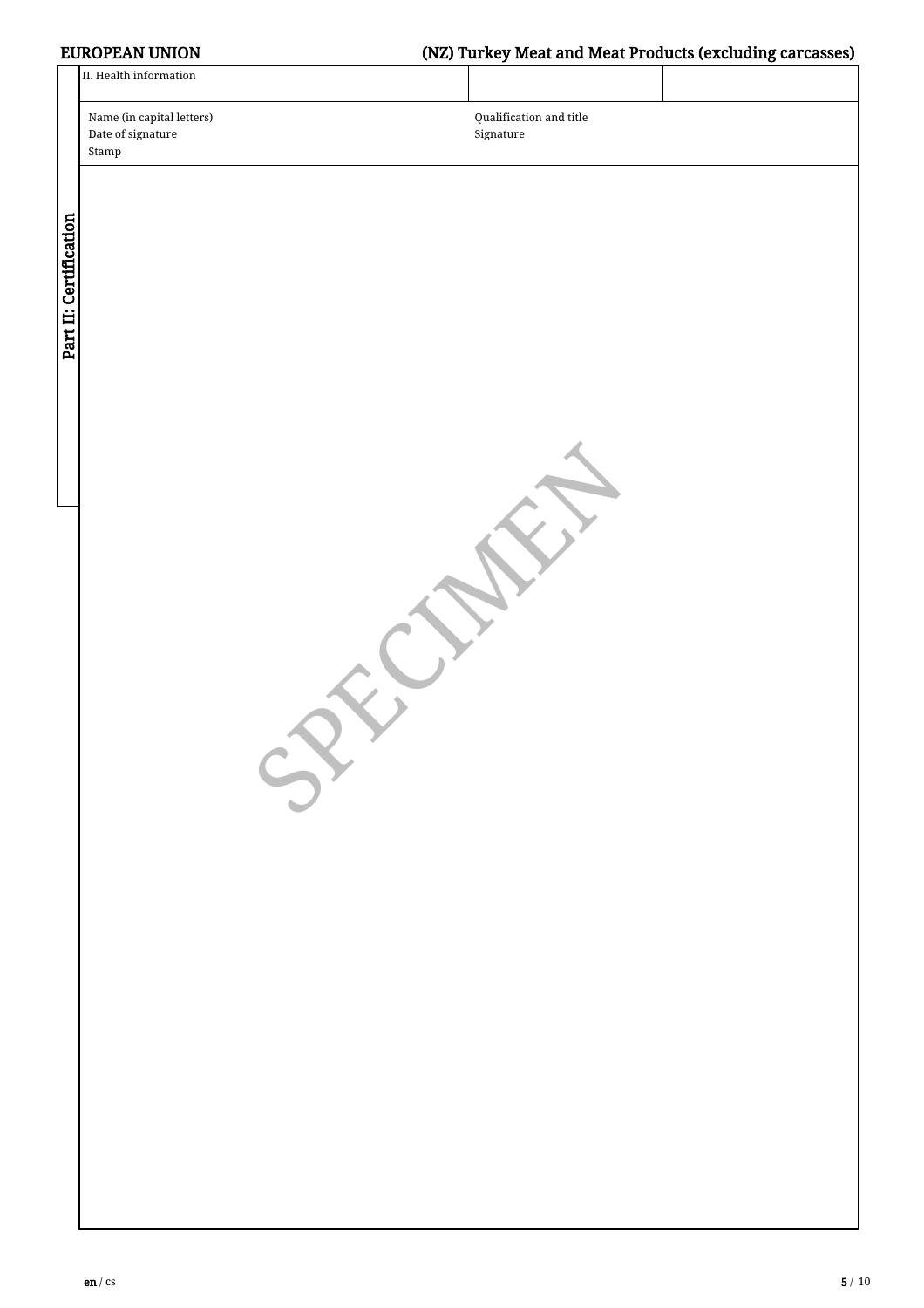# EUROPEAN UNION (NZ) Turkey Meat and Meat Products (excluding carcasses)

|                        | II. Health information                                                   |                                      |  |
|------------------------|--------------------------------------------------------------------------|--------------------------------------|--|
|                        | Name (in capital letters)<br>Date of signature<br>$\operatorname{Stamp}$ | Qualification and title<br>Signature |  |
| Part II: Certification |                                                                          |                                      |  |
|                        | $\rightarrow$                                                            |                                      |  |
|                        |                                                                          |                                      |  |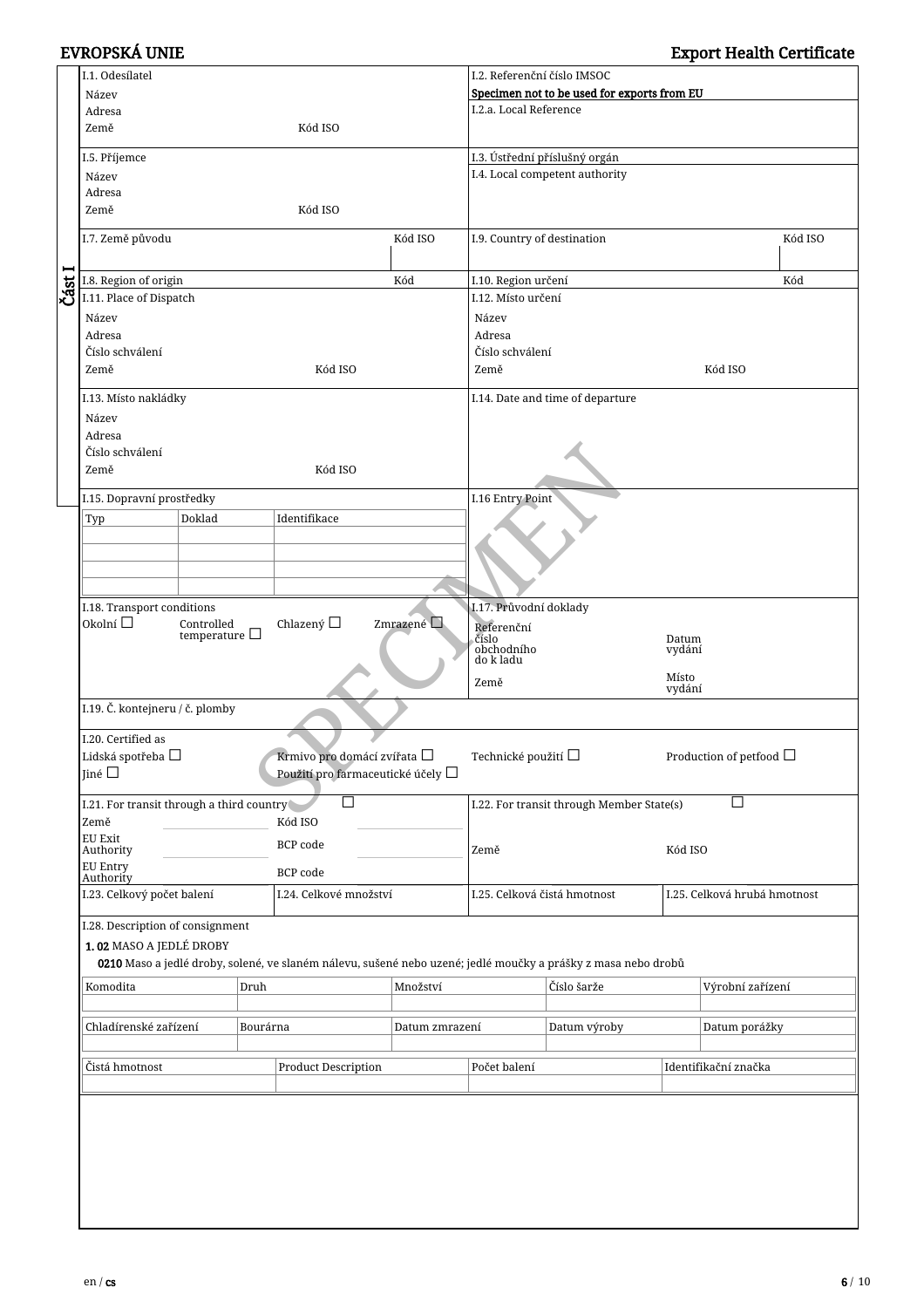|      | I.1. Odesílatel                                                    |                         |              |                                                                                                               |                | I.2. Referenční číslo IMSOC                              |                                  |                              |                  |  |
|------|--------------------------------------------------------------------|-------------------------|--------------|---------------------------------------------------------------------------------------------------------------|----------------|----------------------------------------------------------|----------------------------------|------------------------------|------------------|--|
|      | Název                                                              |                         |              |                                                                                                               |                | Specimen not to be used for exports from EU              |                                  |                              |                  |  |
|      | Adresa                                                             |                         |              |                                                                                                               |                | I.2.a. Local Reference                                   |                                  |                              |                  |  |
|      | Země                                                               |                         |              | Kód ISO                                                                                                       |                |                                                          |                                  |                              |                  |  |
|      |                                                                    |                         |              |                                                                                                               |                |                                                          |                                  |                              |                  |  |
|      | I.5. Příjemce                                                      |                         |              |                                                                                                               |                | I.3. Ústřední příslušný orgán                            |                                  |                              |                  |  |
|      | Název                                                              |                         |              |                                                                                                               |                |                                                          | I.4. Local competent authority   |                              |                  |  |
|      | Adresa                                                             |                         |              |                                                                                                               |                |                                                          |                                  |                              |                  |  |
|      | Země                                                               |                         |              | Kód ISO                                                                                                       |                |                                                          |                                  |                              |                  |  |
|      |                                                                    |                         |              |                                                                                                               |                |                                                          |                                  |                              |                  |  |
|      | I.7. Země původu                                                   |                         |              |                                                                                                               | Kód ISO        | I.9. Country of destination                              |                                  |                              | Kód ISO          |  |
| −    |                                                                    |                         |              |                                                                                                               |                |                                                          |                                  |                              |                  |  |
| Část | I.8. Region of origin                                              |                         |              |                                                                                                               | Kód            | I.10. Region určení                                      |                                  |                              | Kód              |  |
|      |                                                                    | I.11. Place of Dispatch |              |                                                                                                               |                | I.12. Místo určení                                       |                                  |                              |                  |  |
|      | Název<br>Adresa<br>Číslo schválení                                 |                         |              |                                                                                                               |                | Název                                                    |                                  |                              |                  |  |
|      |                                                                    |                         |              |                                                                                                               |                | Adresa                                                   |                                  |                              |                  |  |
|      |                                                                    |                         |              |                                                                                                               |                | Číslo schválení                                          |                                  |                              |                  |  |
|      | Země                                                               |                         |              | Kód ISO                                                                                                       |                | Země                                                     |                                  |                              | Kód ISO          |  |
|      |                                                                    |                         |              |                                                                                                               |                |                                                          |                                  |                              |                  |  |
|      | I.13. Místo nakládky                                               |                         |              |                                                                                                               |                |                                                          | I.14. Date and time of departure |                              |                  |  |
|      | Název                                                              |                         |              |                                                                                                               |                |                                                          |                                  |                              |                  |  |
|      | Adresa                                                             |                         |              |                                                                                                               |                |                                                          |                                  |                              |                  |  |
|      | Číslo schválení                                                    |                         |              |                                                                                                               |                |                                                          |                                  |                              |                  |  |
|      | Země                                                               |                         |              | Kód ISO                                                                                                       |                |                                                          |                                  |                              |                  |  |
|      |                                                                    |                         |              |                                                                                                               |                |                                                          |                                  |                              |                  |  |
|      | I.15. Dopravní prostředky                                          |                         |              |                                                                                                               |                | I.16 Entry Point                                         |                                  |                              |                  |  |
|      | Typ                                                                | Doklad                  |              | Identifikace                                                                                                  |                |                                                          |                                  |                              |                  |  |
|      |                                                                    |                         |              |                                                                                                               |                |                                                          |                                  |                              |                  |  |
|      |                                                                    |                         |              |                                                                                                               |                |                                                          |                                  |                              |                  |  |
|      |                                                                    |                         |              |                                                                                                               |                |                                                          |                                  |                              |                  |  |
|      |                                                                    |                         |              |                                                                                                               |                |                                                          |                                  |                              |                  |  |
|      |                                                                    |                         |              |                                                                                                               |                |                                                          |                                  |                              |                  |  |
|      | I.18. Transport conditions<br>Zmrazené                             |                         |              |                                                                                                               |                |                                                          | I.17. Průvodní doklady           |                              |                  |  |
|      | Okolní $\square$<br>Chlazený □<br>Controlled<br>temperature $\Box$ |                         |              |                                                                                                               |                | Referenční<br>číslo                                      |                                  | Datum                        |                  |  |
|      |                                                                    |                         |              |                                                                                                               |                | obchodního                                               |                                  | vydání                       |                  |  |
|      |                                                                    |                         |              |                                                                                                               |                | do k ladu                                                |                                  |                              |                  |  |
|      |                                                                    |                         |              |                                                                                                               |                | Místo<br>Země<br>vydání                                  |                                  |                              |                  |  |
|      | I.19. Č. kontejneru / č. plomby                                    |                         |              |                                                                                                               |                |                                                          |                                  |                              |                  |  |
|      |                                                                    |                         |              |                                                                                                               |                |                                                          |                                  |                              |                  |  |
|      | I.20. Certified as                                                 |                         |              |                                                                                                               |                | Technické použití $\Box$<br>Production of petfood $\Box$ |                                  |                              |                  |  |
|      | Lidská spotřeba $\Box$                                             |                         |              | Krmivo pro domácí zvířata $\Box$                                                                              |                |                                                          |                                  |                              |                  |  |
|      | Jiné $\square$                                                     |                         |              | Použití pro farmaceutické účely □                                                                             |                | $\Box$<br>I.22. For transit through Member State(s)      |                                  |                              |                  |  |
|      |                                                                    |                         |              |                                                                                                               |                |                                                          |                                  |                              |                  |  |
|      | I.21. For transit through a third country                          |                         |              | $\Box$                                                                                                        |                |                                                          |                                  |                              |                  |  |
|      | Země                                                               |                         |              | Kód ISO                                                                                                       |                |                                                          |                                  |                              |                  |  |
|      | EU Exit<br>Authority                                               |                         |              | <b>BCP</b> code                                                                                               |                |                                                          |                                  | Kód ISO                      |                  |  |
|      |                                                                    |                         |              |                                                                                                               |                | Země                                                     |                                  |                              |                  |  |
|      | EU Entry<br>Authority                                              |                         |              | <b>BCP</b> code                                                                                               |                |                                                          |                                  |                              |                  |  |
|      | I.23. Celkový počet balení                                         |                         |              | I.24. Celkové množství                                                                                        |                |                                                          | I.25. Celková čistá hmotnost     | I.25. Celková hrubá hmotnost |                  |  |
|      |                                                                    |                         |              |                                                                                                               |                |                                                          |                                  |                              |                  |  |
|      | I.28. Description of consignment                                   |                         |              |                                                                                                               |                |                                                          |                                  |                              |                  |  |
|      | 1.02 MASO A JEDLÉ DROBY                                            |                         |              |                                                                                                               |                |                                                          |                                  |                              |                  |  |
|      |                                                                    |                         |              | 0210 Maso a jedlé droby, solené, ve slaném nálevu, sušené nebo uzené; jedlé moučky a prášky z masa nebo drobů |                |                                                          |                                  |                              |                  |  |
|      | Komodita                                                           |                         | Druh         |                                                                                                               | Množství       |                                                          | Číslo šarže                      |                              | Výrobní zařízení |  |
|      |                                                                    |                         |              |                                                                                                               |                |                                                          |                                  |                              |                  |  |
|      |                                                                    |                         |              |                                                                                                               |                |                                                          |                                  |                              |                  |  |
|      | Chladírenské zařízení                                              |                         | Bourárna     |                                                                                                               | Datum zmrazení |                                                          | Datum výroby                     |                              | Datum porážky    |  |
|      |                                                                    |                         |              |                                                                                                               |                |                                                          |                                  |                              |                  |  |
|      | Čistá hmotnost<br><b>Product Description</b>                       |                         | Počet balení |                                                                                                               |                | Identifikační značka                                     |                                  |                              |                  |  |
|      |                                                                    |                         |              |                                                                                                               |                |                                                          |                                  |                              |                  |  |
|      |                                                                    |                         |              |                                                                                                               |                |                                                          |                                  |                              |                  |  |
|      |                                                                    |                         |              |                                                                                                               |                |                                                          |                                  |                              |                  |  |
|      |                                                                    |                         |              |                                                                                                               |                |                                                          |                                  |                              |                  |  |
|      |                                                                    |                         |              |                                                                                                               |                |                                                          |                                  |                              |                  |  |
|      |                                                                    |                         |              |                                                                                                               |                |                                                          |                                  |                              |                  |  |
|      |                                                                    |                         |              |                                                                                                               |                |                                                          |                                  |                              |                  |  |
|      |                                                                    |                         |              |                                                                                                               |                |                                                          |                                  |                              |                  |  |
|      |                                                                    |                         |              |                                                                                                               |                |                                                          |                                  |                              |                  |  |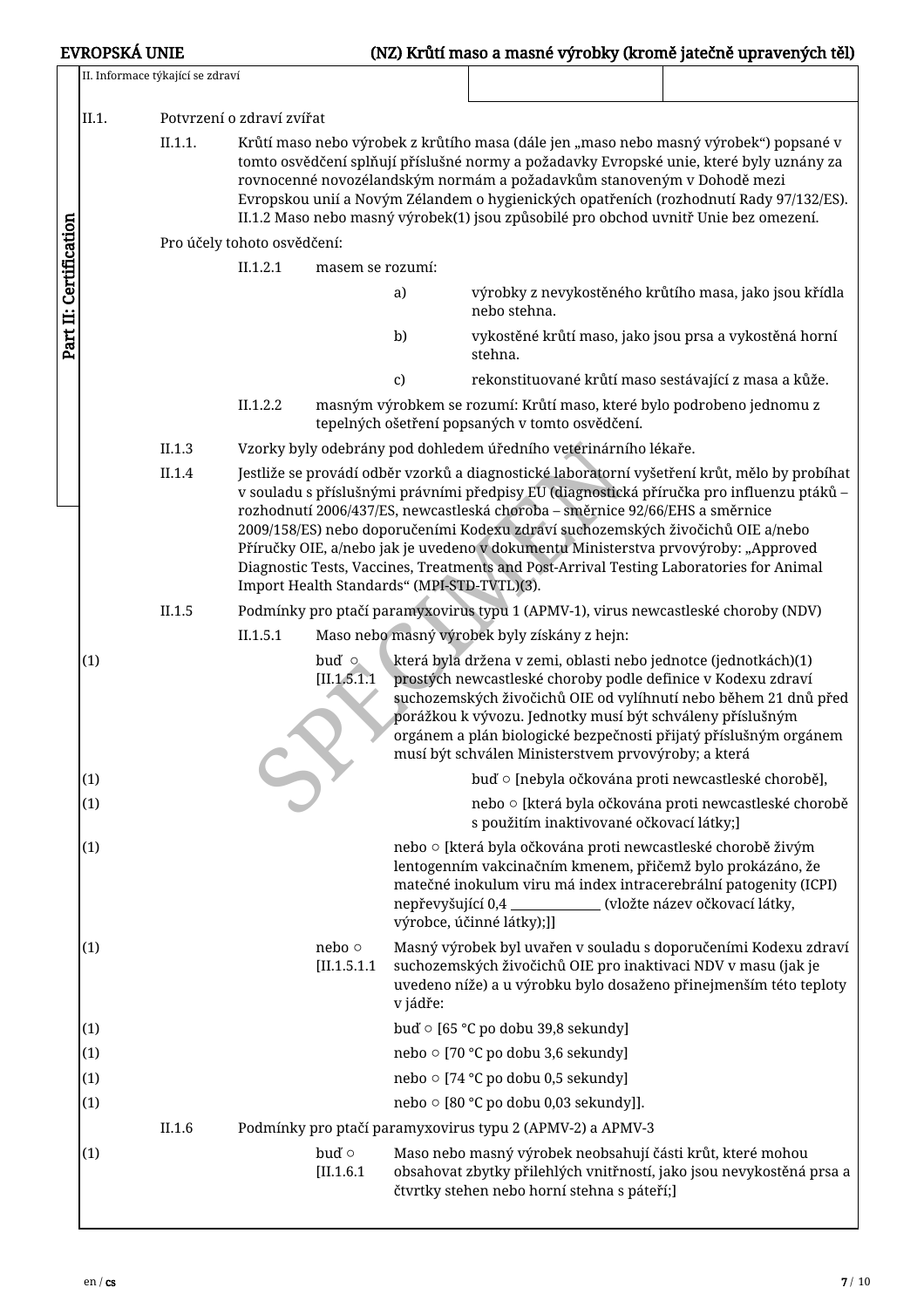|                        |       | II. Informace týkající se zdraví |                                                                                                                                                                                                                                                                                                                                                                                                                                                                                                                                                                                              |                              |              |                                                                                                                                                                                                                                                                                                                                                                                                                                              |  |  |
|------------------------|-------|----------------------------------|----------------------------------------------------------------------------------------------------------------------------------------------------------------------------------------------------------------------------------------------------------------------------------------------------------------------------------------------------------------------------------------------------------------------------------------------------------------------------------------------------------------------------------------------------------------------------------------------|------------------------------|--------------|----------------------------------------------------------------------------------------------------------------------------------------------------------------------------------------------------------------------------------------------------------------------------------------------------------------------------------------------------------------------------------------------------------------------------------------------|--|--|
|                        | II.1. |                                  | Potvrzení o zdraví zvířat                                                                                                                                                                                                                                                                                                                                                                                                                                                                                                                                                                    |                              |              |                                                                                                                                                                                                                                                                                                                                                                                                                                              |  |  |
|                        |       | II.1.1.                          |                                                                                                                                                                                                                                                                                                                                                                                                                                                                                                                                                                                              |                              |              | Krůtí maso nebo výrobek z krůtího masa (dále jen "maso nebo masný výrobek") popsané v<br>tomto osvědčení splňují příslušné normy a požadavky Evropské unie, které byly uznány za<br>rovnocenné novozélandským normám a požadavkům stanoveným v Dohodě mezi<br>Evropskou unií a Novým Zélandem o hygienických opatřeních (rozhodnutí Rady 97/132/ES).<br>II.1.2 Maso nebo masný výrobek(1) jsou způsobilé pro obchod uvnitř Unie bez omezení. |  |  |
|                        |       |                                  | Pro účely tohoto osvědčení:                                                                                                                                                                                                                                                                                                                                                                                                                                                                                                                                                                  |                              |              |                                                                                                                                                                                                                                                                                                                                                                                                                                              |  |  |
|                        |       |                                  | II.1.2.1                                                                                                                                                                                                                                                                                                                                                                                                                                                                                                                                                                                     | masem se rozumí:             |              |                                                                                                                                                                                                                                                                                                                                                                                                                                              |  |  |
| Part II: Certification |       |                                  |                                                                                                                                                                                                                                                                                                                                                                                                                                                                                                                                                                                              |                              | a)           | výrobky z nevykostěného krůtího masa, jako jsou křídla<br>nebo stehna.                                                                                                                                                                                                                                                                                                                                                                       |  |  |
|                        |       |                                  |                                                                                                                                                                                                                                                                                                                                                                                                                                                                                                                                                                                              |                              | b)           | vykostěné krůtí maso, jako jsou prsa a vykostěná horní<br>stehna.                                                                                                                                                                                                                                                                                                                                                                            |  |  |
|                        |       |                                  |                                                                                                                                                                                                                                                                                                                                                                                                                                                                                                                                                                                              |                              | $\mathbf{c}$ | rekonstituované krůtí maso sestávající z masa a kůže.                                                                                                                                                                                                                                                                                                                                                                                        |  |  |
|                        |       |                                  | II.1.2.2                                                                                                                                                                                                                                                                                                                                                                                                                                                                                                                                                                                     |                              |              | masným výrobkem se rozumí: Krůtí maso, které bylo podrobeno jednomu z<br>tepelných ošetření popsaných v tomto osvědčení.                                                                                                                                                                                                                                                                                                                     |  |  |
|                        |       | II.1.3                           |                                                                                                                                                                                                                                                                                                                                                                                                                                                                                                                                                                                              |                              |              | Vzorky byly odebrány pod dohledem úředního veterinárního lékaře.                                                                                                                                                                                                                                                                                                                                                                             |  |  |
|                        |       | II.1.4                           | Jestliže se provádí odběr vzorků a diagnostické laboratorní vyšetření krůt, mělo by probíhat<br>v souladu s příslušnými právními předpisy EU (diagnostická příručka pro influenzu ptáků –<br>rozhodnutí 2006/437/ES, newcastleská choroba – směrnice 92/66/EHS a směrnice<br>2009/158/ES) nebo doporučeními Kodexu zdraví suchozemských živočichů OIE a/nebo<br>Příručky OIE, a/nebo jak je uvedeno v dokumentu Ministerstva prvovýroby: "Approved<br>Diagnostic Tests, Vaccines, Treatments and Post-Arrival Testing Laboratories for Animal<br>Import Health Standards" (MPI-STD-TVTL)(3). |                              |              |                                                                                                                                                                                                                                                                                                                                                                                                                                              |  |  |
|                        |       | II.1.5                           |                                                                                                                                                                                                                                                                                                                                                                                                                                                                                                                                                                                              |                              |              | Podmínky pro ptačí paramyxovirus typu 1 (APMV-1), virus newcastleské choroby (NDV)                                                                                                                                                                                                                                                                                                                                                           |  |  |
|                        |       |                                  | II.1.5.1                                                                                                                                                                                                                                                                                                                                                                                                                                                                                                                                                                                     |                              |              | Maso nebo masný výrobek byly získány z hejn:                                                                                                                                                                                                                                                                                                                                                                                                 |  |  |
|                        | (1)   |                                  |                                                                                                                                                                                                                                                                                                                                                                                                                                                                                                                                                                                              | buď o<br>[II.1.5.1.1]        |              | která byla držena v zemi, oblasti nebo jednotce (jednotkách)(1)<br>prostých newcastleské choroby podle definice v Kodexu zdraví<br>suchozemských živočichů OIE od vylíhnutí nebo během 21 dnů před<br>porážkou k vývozu. Jednotky musí být schváleny příslušným<br>orgánem a plán biologické bezpečnosti přijatý příslušným orgánem<br>musí být schválen Ministerstvem prvovýroby; a která                                                   |  |  |
|                        | (1)   |                                  |                                                                                                                                                                                                                                                                                                                                                                                                                                                                                                                                                                                              |                              |              | buď o [nebyla očkována proti newcastleské chorobě],                                                                                                                                                                                                                                                                                                                                                                                          |  |  |
|                        | (1)   |                                  |                                                                                                                                                                                                                                                                                                                                                                                                                                                                                                                                                                                              |                              |              | nebo o [která byla očkována proti newcastleské chorobě<br>s použitím inaktivované očkovací látky;]                                                                                                                                                                                                                                                                                                                                           |  |  |
|                        | (1)   |                                  |                                                                                                                                                                                                                                                                                                                                                                                                                                                                                                                                                                                              |                              |              | nebo o [která byla očkována proti newcastleské chorobě živým<br>lentogenním vakcinačním kmenem, přičemž bylo prokázáno, že<br>matečné inokulum viru má index intracerebrální patogenity (ICPI)<br>nepřevyšující 0,4 ___________ (vložte název očkovací látky,<br>výrobce, účinné látky);]]                                                                                                                                                   |  |  |
|                        | (1)   |                                  |                                                                                                                                                                                                                                                                                                                                                                                                                                                                                                                                                                                              | nebo $\circ$<br>[II.1.5.1.1] | v jádře:     | Masný výrobek byl uvařen v souladu s doporučeními Kodexu zdraví<br>suchozemských živočichů OIE pro inaktivaci NDV v masu (jak je<br>uvedeno níže) a u výrobku bylo dosaženo přinejmenším této teploty                                                                                                                                                                                                                                        |  |  |
|                        | (1)   |                                  |                                                                                                                                                                                                                                                                                                                                                                                                                                                                                                                                                                                              |                              |              | buď o [65 °C po dobu 39,8 sekundy]                                                                                                                                                                                                                                                                                                                                                                                                           |  |  |
|                        | (1)   |                                  |                                                                                                                                                                                                                                                                                                                                                                                                                                                                                                                                                                                              |                              |              | nebo o [70 °C po dobu 3,6 sekundy]                                                                                                                                                                                                                                                                                                                                                                                                           |  |  |
|                        | (1)   |                                  |                                                                                                                                                                                                                                                                                                                                                                                                                                                                                                                                                                                              |                              |              | nebo o [74 °C po dobu 0,5 sekundy]                                                                                                                                                                                                                                                                                                                                                                                                           |  |  |
|                        | (1)   |                                  |                                                                                                                                                                                                                                                                                                                                                                                                                                                                                                                                                                                              |                              |              | nebo ○ [80 °C po dobu 0,03 sekundy]].                                                                                                                                                                                                                                                                                                                                                                                                        |  |  |
|                        |       | II.1.6                           |                                                                                                                                                                                                                                                                                                                                                                                                                                                                                                                                                                                              |                              |              | Podmínky pro ptačí paramyxovirus typu 2 (APMV-2) a APMV-3                                                                                                                                                                                                                                                                                                                                                                                    |  |  |
|                        | (1)   |                                  |                                                                                                                                                                                                                                                                                                                                                                                                                                                                                                                                                                                              | buď o<br>$[II.1.6.1]$        |              | Maso nebo masný výrobek neobsahují části krůt, které mohou<br>obsahovat zbytky přilehlých vnitřností, jako jsou nevykostěná prsa a<br>čtvrtky stehen nebo horní stehna s páteří;]                                                                                                                                                                                                                                                            |  |  |
|                        |       |                                  |                                                                                                                                                                                                                                                                                                                                                                                                                                                                                                                                                                                              |                              |              |                                                                                                                                                                                                                                                                                                                                                                                                                                              |  |  |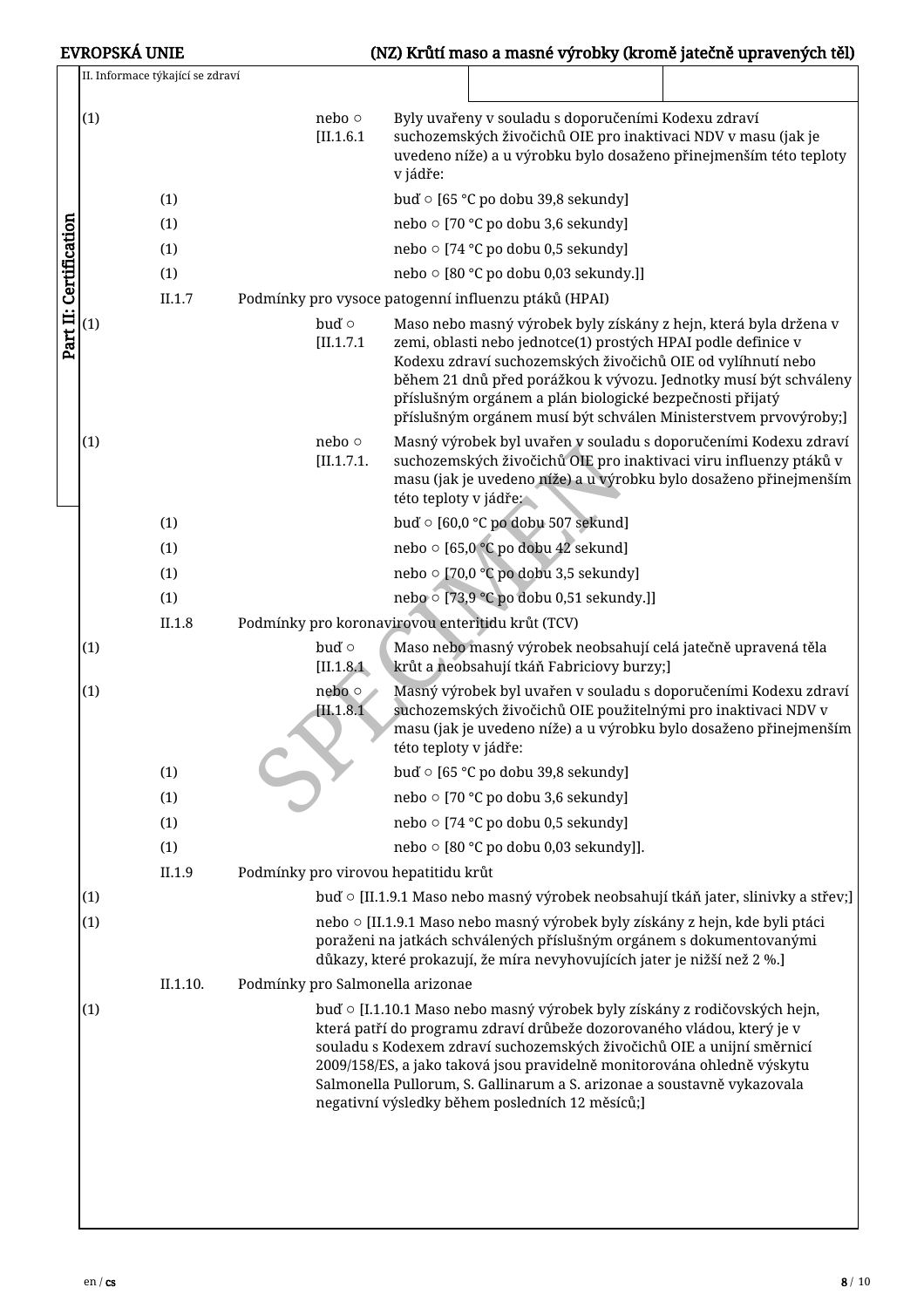| <b>EVROPSKÁ UNIE</b>   |     |                                  |                                                                                                                                                                                                                                                                                                                                                                                                                                        |                             | (NZ) Krůtí maso a masné výrobky (kromě jatečně upravených těl)                                                                                                                                                                                                                                                                  |  |
|------------------------|-----|----------------------------------|----------------------------------------------------------------------------------------------------------------------------------------------------------------------------------------------------------------------------------------------------------------------------------------------------------------------------------------------------------------------------------------------------------------------------------------|-----------------------------|---------------------------------------------------------------------------------------------------------------------------------------------------------------------------------------------------------------------------------------------------------------------------------------------------------------------------------|--|
|                        |     | II. Informace týkající se zdraví |                                                                                                                                                                                                                                                                                                                                                                                                                                        |                             |                                                                                                                                                                                                                                                                                                                                 |  |
|                        | (1) |                                  |                                                                                                                                                                                                                                                                                                                                                                                                                                        | nebo $\circ$<br>$[II.1.6.1$ | Byly uvařeny v souladu s doporučeními Kodexu zdraví<br>suchozemských živočichů OIE pro inaktivaci NDV v masu (jak je<br>uvedeno níže) a u výrobku bylo dosaženo přinejmenším této teploty<br>v jádře:                                                                                                                           |  |
|                        |     | (1)                              |                                                                                                                                                                                                                                                                                                                                                                                                                                        |                             | buď o [65 °C po dobu 39,8 sekundy]                                                                                                                                                                                                                                                                                              |  |
|                        |     | (1)                              |                                                                                                                                                                                                                                                                                                                                                                                                                                        |                             | nebo o [70 °C po dobu 3,6 sekundy]                                                                                                                                                                                                                                                                                              |  |
|                        |     | (1)                              |                                                                                                                                                                                                                                                                                                                                                                                                                                        |                             | nebo o [74 °C po dobu 0,5 sekundy]                                                                                                                                                                                                                                                                                              |  |
|                        |     | (1)                              |                                                                                                                                                                                                                                                                                                                                                                                                                                        |                             | nebo ○ [80 °C po dobu 0,03 sekundy.]]                                                                                                                                                                                                                                                                                           |  |
|                        |     | II.1.7                           |                                                                                                                                                                                                                                                                                                                                                                                                                                        |                             | Podmínky pro vysoce patogenní influenzu ptáků (HPAI)                                                                                                                                                                                                                                                                            |  |
|                        | (1) |                                  |                                                                                                                                                                                                                                                                                                                                                                                                                                        | buď o                       | Maso nebo masný výrobek byly získány z hejn, která byla držena v                                                                                                                                                                                                                                                                |  |
| Part II: Certification |     |                                  |                                                                                                                                                                                                                                                                                                                                                                                                                                        | [II.1.7.1]                  | zemi, oblasti nebo jednotce(1) prostých HPAI podle definice v<br>Kodexu zdraví suchozemských živočichů OIE od vylíhnutí nebo<br>během 21 dnů před porážkou k vývozu. Jednotky musí být schváleny<br>příslušným orgánem a plán biologické bezpečnosti přijatý<br>příslušným orgánem musí být schválen Ministerstvem prvovýroby;] |  |
|                        | (1) |                                  |                                                                                                                                                                                                                                                                                                                                                                                                                                        | nebo $\circ$<br>[II.1.7.1]  | Masný výrobek byl uvařen v souladu s doporučeními Kodexu zdraví<br>suchozemských živočichů OIE pro inaktivaci viru influenzy ptáků v<br>masu (jak je uvedeno níže) a u výrobku bylo dosaženo přinejmenším<br>této teploty v jádře:                                                                                              |  |
|                        |     | (1)                              |                                                                                                                                                                                                                                                                                                                                                                                                                                        |                             | buď o [60,0 °C po dobu 507 sekund]                                                                                                                                                                                                                                                                                              |  |
|                        |     | (1)                              |                                                                                                                                                                                                                                                                                                                                                                                                                                        |                             | nebo o [65,0 ℃ po dobu 42 sekund]                                                                                                                                                                                                                                                                                               |  |
|                        |     | (1)                              |                                                                                                                                                                                                                                                                                                                                                                                                                                        |                             | nebo o [70,0 °C po dobu 3,5 sekundy]                                                                                                                                                                                                                                                                                            |  |
|                        |     | (1)                              |                                                                                                                                                                                                                                                                                                                                                                                                                                        |                             | nebo o [73,9 °C po dobu 0,51 sekundy.]]                                                                                                                                                                                                                                                                                         |  |
|                        |     | II.1.8                           |                                                                                                                                                                                                                                                                                                                                                                                                                                        |                             | Podmínky pro koronavirovou enteritidu krůt (TCV)                                                                                                                                                                                                                                                                                |  |
|                        | (1) |                                  |                                                                                                                                                                                                                                                                                                                                                                                                                                        | buď o<br>[II.1.8.1]         | Maso nebo masný výrobek neobsahují celá jatečně upravená těla<br>krůt a neobsahují tkáň Fabriciovy burzy;]                                                                                                                                                                                                                      |  |
|                        | (1) |                                  |                                                                                                                                                                                                                                                                                                                                                                                                                                        | nebo $\circ$<br>[II.1.8.1]  | Masný výrobek byl uvařen v souladu s doporučeními Kodexu zdraví<br>suchozemských živočichů OIE použitelnými pro inaktivaci NDV v<br>masu (jak je uvedeno níže) a u výrobku bylo dosaženo přinejmenším<br>této teploty v jádře:                                                                                                  |  |
|                        |     | (1)                              |                                                                                                                                                                                                                                                                                                                                                                                                                                        |                             | buď o [65 °C po dobu 39,8 sekundy]                                                                                                                                                                                                                                                                                              |  |
|                        |     | (1)                              |                                                                                                                                                                                                                                                                                                                                                                                                                                        |                             | nebo o [70 °C po dobu 3,6 sekundy]                                                                                                                                                                                                                                                                                              |  |
|                        |     | (1)                              |                                                                                                                                                                                                                                                                                                                                                                                                                                        |                             | nebo o [74 °C po dobu 0,5 sekundy]                                                                                                                                                                                                                                                                                              |  |
|                        |     | (1)                              |                                                                                                                                                                                                                                                                                                                                                                                                                                        |                             | nebo o [80 °C po dobu 0,03 sekundy]].                                                                                                                                                                                                                                                                                           |  |
|                        |     | II.1.9                           |                                                                                                                                                                                                                                                                                                                                                                                                                                        |                             | Podmínky pro virovou hepatitidu krůt                                                                                                                                                                                                                                                                                            |  |
|                        | (1) |                                  |                                                                                                                                                                                                                                                                                                                                                                                                                                        |                             | buď ⊙ [II.1.9.1 Maso nebo masný výrobek neobsahují tkáň jater, slinivky a střev;]                                                                                                                                                                                                                                               |  |
|                        | (1) |                                  |                                                                                                                                                                                                                                                                                                                                                                                                                                        |                             | nebo o [II.1.9.1 Maso nebo masný výrobek byly získány z hejn, kde byli ptáci<br>poraženi na jatkách schválených příslušným orgánem s dokumentovanými<br>důkazy, které prokazují, že míra nevyhovujících jater je nižší než 2 %.]                                                                                                |  |
|                        |     | II.1.10.                         |                                                                                                                                                                                                                                                                                                                                                                                                                                        |                             | Podmínky pro Salmonella arizonae                                                                                                                                                                                                                                                                                                |  |
|                        | (1) |                                  | buď o [I.1.10.1 Maso nebo masný výrobek byly získány z rodičovských hejn,<br>která patří do programu zdraví drůbeže dozorovaného vládou, který je v<br>souladu s Kodexem zdraví suchozemských živočichů OIE a unijní směrnicí<br>2009/158/ES, a jako taková jsou pravidelně monitorována ohledně výskytu<br>Salmonella Pullorum, S. Gallinarum a S. arizonae a soustavně vykazovala<br>negativní výsledky během posledních 12 měsíců;] |                             |                                                                                                                                                                                                                                                                                                                                 |  |
|                        |     |                                  |                                                                                                                                                                                                                                                                                                                                                                                                                                        |                             |                                                                                                                                                                                                                                                                                                                                 |  |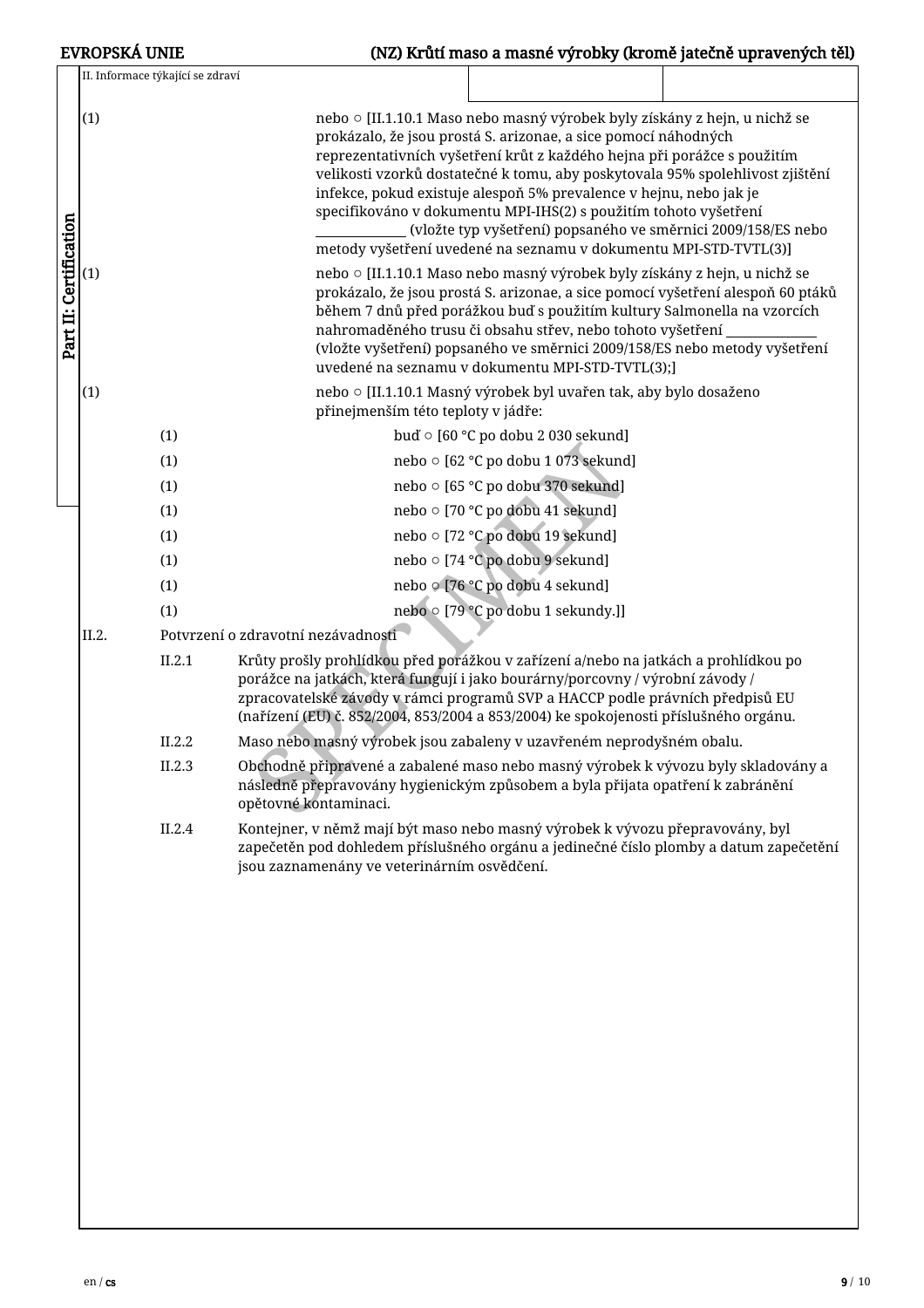|                        | <b>EVROPSKÁ UNIE</b>             | (NZ) Krůtí maso a masné výrobky (kromě jatečně upravených těl)                                                                                                                                                                                                                                                                                                                                                                          |  |
|------------------------|----------------------------------|-----------------------------------------------------------------------------------------------------------------------------------------------------------------------------------------------------------------------------------------------------------------------------------------------------------------------------------------------------------------------------------------------------------------------------------------|--|
|                        | II. Informace týkající se zdraví |                                                                                                                                                                                                                                                                                                                                                                                                                                         |  |
|                        | (1)                              | nebo o [II.1.10.1 Maso nebo masný výrobek byly získány z hejn, u nichž se                                                                                                                                                                                                                                                                                                                                                               |  |
|                        |                                  | prokázalo, že jsou prostá S. arizonae, a sice pomocí náhodných<br>reprezentativních vyšetření krůt z každého hejna při porážce s použitím<br>velikosti vzorků dostatečné k tomu, aby poskytovala 95% spolehlivost zjištění<br>infekce, pokud existuje alespoň 5% prevalence v hejnu, nebo jak je<br>specifikováno v dokumentu MPI-IHS(2) s použitím tohoto vyšetření<br>(vložte typ vyšetření) popsaného ve směrnici 2009/158/ES nebo   |  |
|                        |                                  | metody vyšetření uvedené na seznamu v dokumentu MPI-STD-TVTL(3)]                                                                                                                                                                                                                                                                                                                                                                        |  |
| Part II: Certification | (1)                              | nebo o [II.1.10.1 Maso nebo masný výrobek byly získány z hejn, u nichž se<br>prokázalo, že jsou prostá S. arizonae, a sice pomocí vyšetření alespoň 60 ptáků<br>během 7 dnů před porážkou buď s použitím kultury Salmonella na vzorcích<br>nahromaděného trusu či obsahu střev, nebo tohoto vyšetření<br>(vložte vyšetření) popsaného ve směrnici 2009/158/ES nebo metody vyšetření<br>uvedené na seznamu v dokumentu MPI-STD-TVTL(3);] |  |
|                        | (1)                              | nebo o [II.1.10.1 Masný výrobek byl uvařen tak, aby bylo dosaženo<br>přinejmenším této teploty v jádře:                                                                                                                                                                                                                                                                                                                                 |  |
|                        | (1)                              | buď o [60 °C po dobu 2 030 sekund]                                                                                                                                                                                                                                                                                                                                                                                                      |  |
|                        | (1)                              | nebo o [62 °C po dobu 1 073 sekund]                                                                                                                                                                                                                                                                                                                                                                                                     |  |
|                        | (1)                              | nebo o [65 °C po dobu 370 sekund]                                                                                                                                                                                                                                                                                                                                                                                                       |  |
|                        | (1)                              | nebo o [70 °C po dobu 41 sekund]                                                                                                                                                                                                                                                                                                                                                                                                        |  |
|                        | (1)                              | nebo o [72 °C po dobu 19 sekund]                                                                                                                                                                                                                                                                                                                                                                                                        |  |
|                        | (1)                              | nebo o [74 °C po dobu 9 sekund]                                                                                                                                                                                                                                                                                                                                                                                                         |  |
|                        | (1)                              | nebo o [76 °C po dobu 4 sekund]                                                                                                                                                                                                                                                                                                                                                                                                         |  |
|                        | (1)                              | nebo o [79 °C po dobu 1 sekundy.]]                                                                                                                                                                                                                                                                                                                                                                                                      |  |
|                        | II.2.                            | Potvrzení o zdravotní nezávadnosti                                                                                                                                                                                                                                                                                                                                                                                                      |  |
|                        | II.2.1                           | Krůty prošly prohlídkou před porážkou v zařízení a/nebo na jatkách a prohlídkou po<br>porážce na jatkách, která fungují i jako bourárny/porcovny / výrobní závody /<br>zpracovatelské závody v rámci programů SVP a HACCP podle právních předpisů EU<br>(nařízení (EU) č. 852/2004, 853/2004 a 853/2004) ke spokojenosti příslušného orgánu.                                                                                            |  |
|                        | II.2.2                           | Maso nebo masný výrobek jsou zabaleny v uzavřeném neprodyšném obalu.                                                                                                                                                                                                                                                                                                                                                                    |  |
|                        | II.2.3                           | Obchodně připravené a zabalené maso nebo masný výrobek k vývozu byly skladovány a<br>následně přepravovány hygienickým způsobem a byla přijata opatření k zabránění<br>opětovné kontaminaci.                                                                                                                                                                                                                                            |  |
|                        | II.2.4                           | Kontejner, v němž mají být maso nebo masný výrobek k vývozu přepravovány, byl<br>zapečetěn pod dohledem příslušného orgánu a jedinečné číslo plomby a datum zapečetění<br>jsou zaznamenány ve veterinárním osvědčení.                                                                                                                                                                                                                   |  |
|                        |                                  |                                                                                                                                                                                                                                                                                                                                                                                                                                         |  |